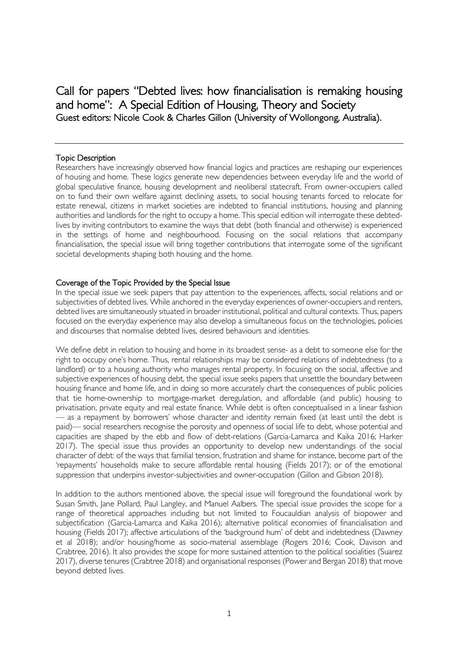Call for papers "Debted lives: how financialisation is remaking housing and home": A Special Edition of Housing, Theory and Society<br>Guest editors: Nicole Cook & Charles Gillon (University of Wollongong, Australia).

## Topic Description

Researchers have increasingly observed how financial logics and practices are reshaping our experiences of housing and home. These logics generate new dependencies between everyday life and the world of global speculative finance, housing development and neoliberal statecraft. From owner-occupiers called on to fund their own welfare against declining assets, to social housing tenants forced to relocate for estate renewal, citizens in market societies are indebted to financial institutions, housing and planning authorities and landlords for the right to occupy a home. This special edition will interrogate these debtedlives by inviting contributors to examine the ways that debt (both financial and otherwise) is experienced in the settings of home and neighbourhood. Focusing on the social relations that accompany financialisation, the special issue will bring together contributions that interrogate some of the significant societal developments shaping both housing and the home.

## Coverage of the Topic Provided by the Special Issue

In the special issue we seek papers that pay attention to the experiences, affects, social relations and or subjectivities of debted lives. While anchored in the everyday experiences of owner-occupiers and renters, debted lives are simultaneously situated in broader institutional, political and cultural contexts. Thus, papers focused on the everyday experience may also develop a simultaneous focus on the technologies, policies and discourses that normalise debted lives, desired behaviours and identities.

We define debt in relation to housing and home in its broadest sense- as a debt to someone else for the right to occupy one's home. Thus, rental relationships may be considered relations of indebtedness (to a landlord) or to a housing authority who manages rental property. In focusing on the social, affective and subjective experiences of housing debt, the special issue seeks papers that unsettle the boundary between housing finance and home life, and in doing so more accurately chart the consequences of public policies that tie home-ownership to mortgage-market deregulation, and affordable (and public) housing to privatisation, private equity and real estate finance. While debt is often conceptualised in a linear fashion — as a repayment by borrowers' whose character and identity remain fixed (at least until the debt is paid)— social researchers recognise the porosity and openness of social life to debt, whose potential and capacities are shaped by the ebb and flow of debt-relations (Garcia-Lamarca and Kaika 2016; Harker 2017). The special issue thus provides an opportunity to develop new understandings of the social character of debt: of the ways that familial tension, frustration and shame for instance, become part of the 'repayments' households make to secure affordable rental housing (Fields 2017); or of the emotional suppression that underpins investor-subjectivities and owner-occupation (Gillon and Gibson 2018).

In addition to the authors mentioned above, the special issue will foreground the foundational work by Susan Smith, Jane Pollard, Paul Langley, and Manuel Aalbers. The special issue provides the scope for a range of theoretical approaches including but not limited to Foucauldian analysis of biopower and subjectification (Garcia-Lamarca and Kaika 2016); alternative political economies of financialisation and housing (Fields 2017); affective articulations of the 'background hum' of debt and indebtedness (Dawney et al 2018); and/or housing/home as socio-material assemblage (Rogers 2016; Cook, Davison and Crabtree, 2016). It also provides the scope for more sustained attention to the political socialities (Suarez 2017), diverse tenures (Crabtree 2018) and organisational responses (Power and Bergan 2018) that move beyond debted lives.